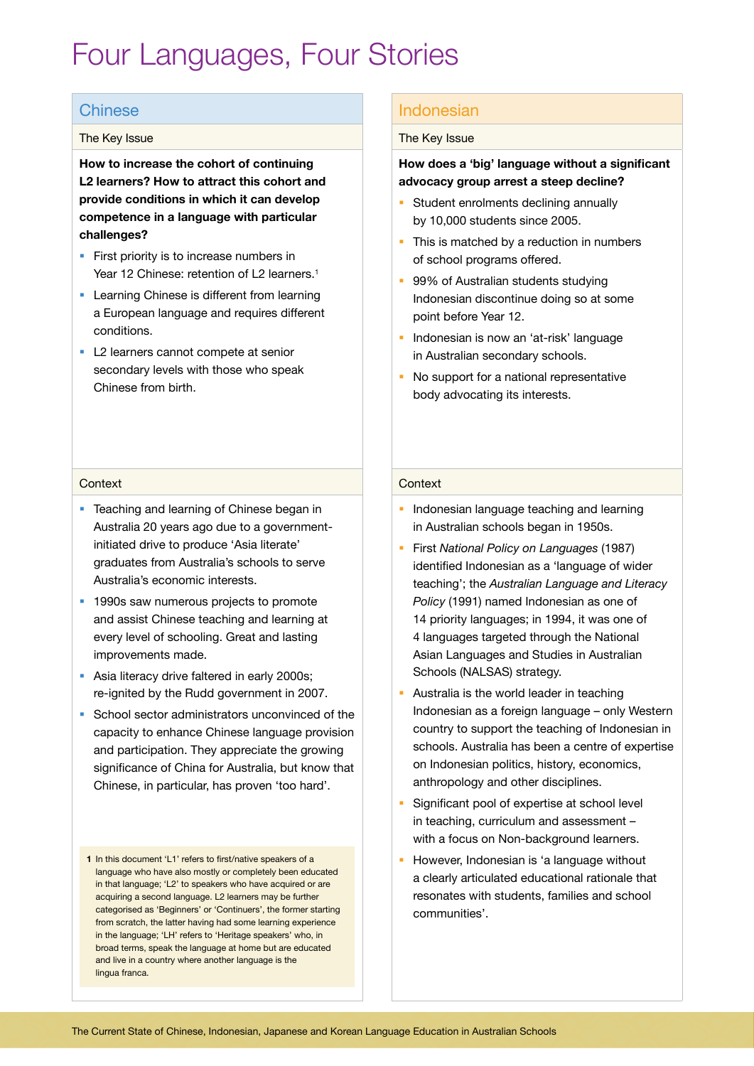# Four Languages, Four Stories

# Chinese

## The Key Issue

**How to increase the cohort of continuing L2 learners? How to attract this cohort and provide conditions in which it can develop competence in a language with particular challenges?**

- **First priority is to increase numbers in** Year 12 Chinese: retention of L2 learners.<sup>1</sup>
- **Learning Chinese is different from learning** a European language and requires different conditions.
- L2 learners cannot compete at senior secondary levels with those who speak Chinese from birth.

# Indonesian

#### The Key Issue

# **How does a 'big' language without a significant advocacy group arrest a steep decline?**

- Student enrolments declining annually by 10,000 students since 2005.
- This is matched by a reduction in numbers of school programs offered.
- **99% of Australian students studying** Indonesian discontinue doing so at some point before Year 12.
- **Indonesian is now an 'at-risk' language** in Australian secondary schools.
- No support for a national representative body advocating its interests.

#### **Context**

- **Teaching and learning of Chinese began in** Australia 20 years ago due to a governmentinitiated drive to produce 'Asia literate' graduates from Australia's schools to serve Australia's economic interests.
- <sup>1</sup> 1990s saw numerous projects to promote and assist Chinese teaching and learning at every level of schooling. Great and lasting improvements made.
- Asia literacy drive faltered in early 2000s; re-ignited by the Rudd government in 2007.
- **School sector administrators unconvinced of the** capacity to enhance Chinese language provision and participation. They appreciate the growing significance of China for Australia, but know that Chinese, in particular, has proven 'too hard'.
- **1** In this document 'L1' refers to first/native speakers of a language who have also mostly or completely been educated in that language; 'L2' to speakers who have acquired or are acquiring a second language. L2 learners may be further categorised as 'Beginners' or 'Continuers', the former starting from scratch, the latter having had some learning experience in the language; 'LH' refers to 'Heritage speakers' who, in broad terms, speak the language at home but are educated and live in a country where another language is the lingua franca.

## **Context**

- **Indonesian language teaching and learning** in Australian schools began in 1950s.
- First *National Policy on Languages* (1987) identified Indonesian as a 'language of wider teaching'; the *Australian Language and Literacy Policy* (1991) named Indonesian as one of 14 priority languages; in 1994, it was one of 4 languages targeted through the National Asian Languages and Studies in Australian Schools (NALSAS) strategy.
- Australia is the world leader in teaching Indonesian as a foreign language – only Western country to support the teaching of Indonesian in schools. Australia has been a centre of expertise on Indonesian politics, history, economics, anthropology and other disciplines.
- Significant pool of expertise at school level in teaching, curriculum and assessment – with a focus on Non-background learners.
- However, Indonesian is 'a language without a clearly articulated educational rationale that resonates with students, families and school communities'.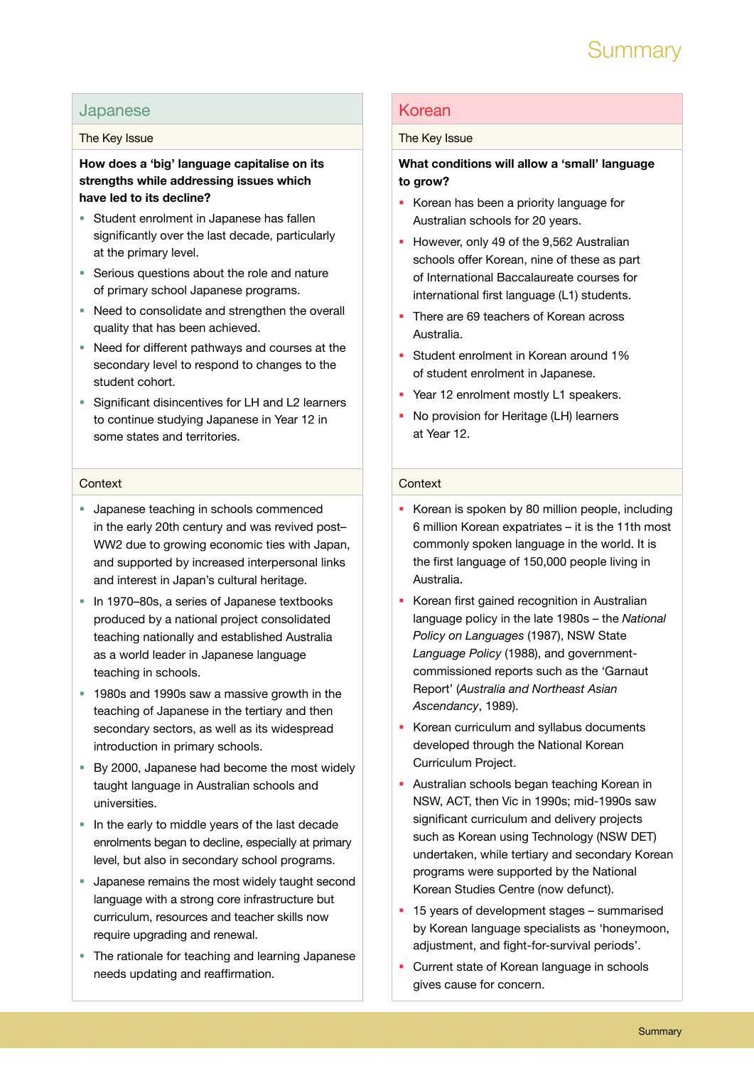

# Japanese

#### The Key Issue

# **How does a 'big' language capitalise on its strengths while addressing issues which have led to its decline?**

- **Student enrolment in Japanese has fallen** significantly over the last decade, particularly at the primary level.
- Serious questions about the role and nature of primary school Japanese programs.
- Need to consolidate and strengthen the overall quality that has been achieved.
- Need for different pathways and courses at the secondary level to respond to changes to the student cohort.
- Significant disincentives for LH and L2 learners to continue studying Japanese in Year 12 in some states and territories.

#### **Context**

- **Japanese teaching in schools commenced** in the early 20th century and was revived post– WW2 due to growing economic ties with Japan, and supported by increased interpersonal links and interest in Japan's cultural heritage.
- In 1970–80s, a series of Japanese textbooks produced by a national project consolidated teaching nationally and established Australia as a world leader in Japanese language teaching in schools.
- 1980s and 1990s saw a massive growth in the teaching of Japanese in the tertiary and then secondary sectors, as well as its widespread introduction in primary schools.
- By 2000, Japanese had become the most widely taught language in Australian schools and universities.
- In the early to middle years of the last decade enrolments began to decline, especially at primary level, but also in secondary school programs.
- **Japanese remains the most widely taught second** language with a strong core infrastructure but curriculum, resources and teacher skills now require upgrading and renewal.
- The rationale for teaching and learning Japanese needs updating and reaffirmation.

# Korean

#### The Key Issue

# **What conditions will allow a 'small' language to grow?**

- Korean has been a priority language for Australian schools for 20 years.
- However, only 49 of the 9,562 Australian schools offer Korean, nine of these as part of International Baccalaureate courses for international first language (L1) students.
- There are 69 teachers of Korean across Australia.
- Student enrolment in Korean around 1% of student enrolment in Japanese.
- P Year 12 enrolment mostly L1 speakers.
- No provision for Heritage (LH) learners at Year 12.

#### **Context**

- Korean is spoken by 80 million people, including 6 million Korean expatriates – it is the 11th most commonly spoken language in the world. It is the first language of 150,000 people living in Australia.
- Korean first gained recognition in Australian language policy in the late 1980s – the *National Policy on Languages* (1987), NSW State *Language Policy* (1988), and governmentcommissioned reports such as the 'Garnaut Report' (*Australia and Northeast Asian Ascendancy*, 1989).
- Korean curriculum and syllabus documents developed through the National Korean Curriculum Project.
- Australian schools began teaching Korean in NSW, ACT, then Vic in 1990s; mid-1990s saw significant curriculum and delivery projects such as Korean using Technology (NSW DET) undertaken, while tertiary and secondary Korean programs were supported by the National Korean Studies Centre (now defunct).
- **15 years of development stages summarised** by Korean language specialists as 'honeymoon, adjustment, and fight-for-survival periods'.
- Current state of Korean language in schools gives cause for concern.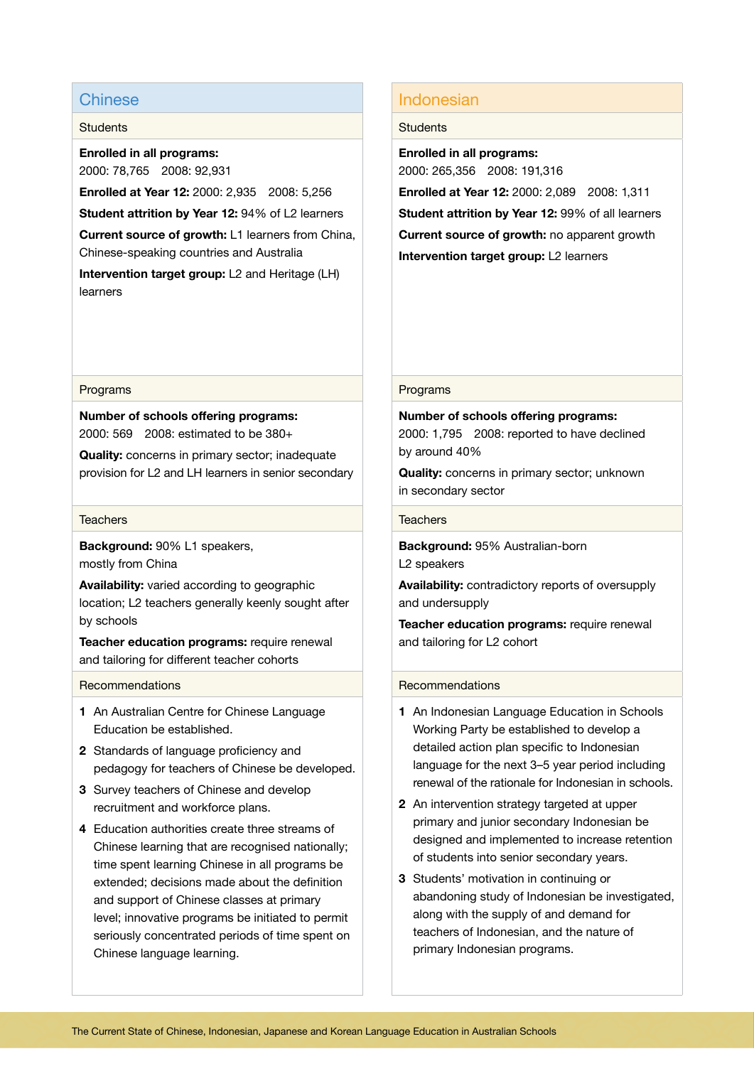# Chinese

#### **Students**

**Enrolled in all programs:** 2000: 78,765 2008: 92,931

**Enrolled at Year 12:** 2000: 2,935 2008: 5,256

**Student attrition by Year 12:** 94% of L2 learners

**Current source of growth:** L1 learners from China, Chinese-speaking countries and Australia

**Intervention target group:** L2 and Heritage (LH) learners

#### Programs

**Number of schools offering programs:** 2000: 569 2008: estimated to be 380+

**Quality:** concerns in primary sector; inadequate provision for L2 and LH learners in senior secondary

#### **Teachers**

**Background:** 90% L1 speakers, mostly from China

**Availability:** varied according to geographic location; L2 teachers generally keenly sought after by schools

**Teacher education programs:** require renewal and tailoring for different teacher cohorts

## Recommendations

- **1** An Australian Centre for Chinese Language Education be established.
- **2** Standards of language proficiency and pedagogy for teachers of Chinese be developed.
- **3** Survey teachers of Chinese and develop recruitment and workforce plans.
- **4** Education authorities create three streams of Chinese learning that are recognised nationally; time spent learning Chinese in all programs be extended; decisions made about the definition and support of Chinese classes at primary level; innovative programs be initiated to permit seriously concentrated periods of time spent on Chinese language learning.

# Indonesian

## **Students**

**Enrolled in all programs:** 2000: 265,356 2008: 191,316 **Enrolled at Year 12:** 2000: 2,089 2008: 1,311 **Student attrition by Year 12:** 99% of all learners **Current source of growth:** no apparent growth **Intervention target group:** L2 learners

#### Programs

**Number of schools offering programs:** 2000: 1,795 2008: reported to have declined by around 40%

**Quality:** concerns in primary sector; unknown in secondary sector

## **Teachers**

**Background:** 95% Australian-born L2 speakers

**Availability:** contradictory reports of oversupply and undersupply

**Teacher education programs:** require renewal and tailoring for L2 cohort

#### Recommendations

- **1** An Indonesian Language Education in Schools Working Party be established to develop a detailed action plan specific to Indonesian language for the next 3–5 year period including renewal of the rationale for Indonesian in schools.
- **2** An intervention strategy targeted at upper primary and junior secondary Indonesian be designed and implemented to increase retention of students into senior secondary years.
- **3** Students' motivation in continuing or abandoning study of Indonesian be investigated, along with the supply of and demand for teachers of Indonesian, and the nature of primary Indonesian programs.